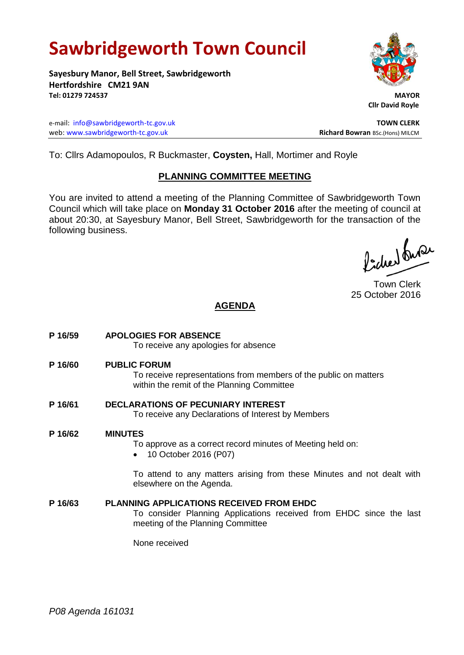# **Sawbridgeworth Town Council**

**Sayesbury Manor, Bell Street, Sawbridgeworth Hertfordshire CM21 9AN Tel: 01279 724537 MAYOR**

e-mail: [info@sawbridgeworth-tc.gov.uk](mailto:info@sawbridgeworth-tc.gov.uk) **TOWN CLERK** web: www.sawbridgeworth-tc.gov.uk<br>
Richard Bowran BSc.(Hons) MILCM



 **Cllr David Royle**

To: Cllrs Adamopoulos, R Buckmaster, **Coysten,** Hall, Mortimer and Royle

## **PLANNING COMMITTEE MEETING**

You are invited to attend a meeting of the Planning Committee of Sawbridgeworth Town Council which will take place on **Monday 31 October 2016** after the meeting of council at about 20:30, at Sayesbury Manor, Bell Street, Sawbridgeworth for the transaction of the following business.

fidee buse

Town Clerk 25 October 2016

# **AGENDA**

**P 16/59 APOLOGIES FOR ABSENCE** To receive any apologies for absence **P 16/60 PUBLIC FORUM** To receive representations from members of the public on matters within the remit of the Planning Committee **P 16/61 DECLARATIONS OF PECUNIARY INTEREST** To receive any Declarations of Interest by Members **P 16/62 MINUTES** To approve as a correct record minutes of Meeting held on: • 10 October 2016 (P07) To attend to any matters arising from these Minutes and not dealt with elsewhere on the Agenda. **P 16/63 PLANNING APPLICATIONS RECEIVED FROM EHDC** To consider Planning Applications received from EHDC since the last meeting of the Planning Committee

None received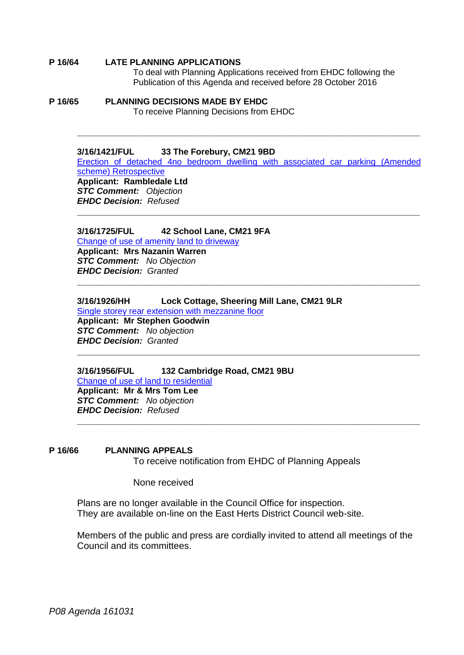#### **P 16/64 LATE PLANNING APPLICATIONS**

To deal with Planning Applications received from EHDC following the Publication of this Agenda and received before 28 October 2016

### **P 16/65 PLANNING DECISIONS MADE BY EHDC** To receive Planning Decisions from EHDC

#### **3/16/1421/FUL 33 The Forebury, CM21 9BD**

[Erection of detached 4no bedroom dwelling with associated car parking \(Amended](https://publicaccess.eastherts.gov.uk/online-applications/applicationDetails.do?activeTab=summary&keyVal=O92ATJGL00X00)  [scheme\) Retrospective](https://publicaccess.eastherts.gov.uk/online-applications/applicationDetails.do?activeTab=summary&keyVal=O92ATJGL00X00) **Applicant: Rambledale Ltd**  *STC Comment: Objection EHDC Decision: Refused*

**\_\_\_\_\_\_\_\_\_\_\_\_\_\_\_\_\_\_\_\_\_\_\_\_\_\_\_\_\_\_\_\_\_\_\_\_\_\_\_\_\_\_\_\_\_\_\_\_\_\_\_\_\_\_\_\_\_\_\_\_\_\_\_\_\_\_**

**\_\_\_\_\_\_\_\_\_\_\_\_\_\_\_\_\_\_\_\_\_\_\_\_\_\_\_\_\_\_\_\_\_\_\_\_\_\_\_\_\_\_\_\_\_\_\_\_\_\_\_\_\_\_\_\_\_\_\_\_\_\_\_\_\_\_**

**\_\_\_\_\_\_\_\_\_\_\_\_\_\_\_\_\_\_\_\_\_\_\_\_\_\_\_\_\_\_\_\_\_\_\_\_\_\_\_\_\_\_\_\_\_\_\_\_\_\_\_\_\_\_\_\_\_\_\_\_\_\_\_\_\_\_**

**\_\_\_\_\_\_\_\_\_\_\_\_\_\_\_\_\_\_\_\_\_\_\_\_\_\_\_\_\_\_\_\_\_\_\_\_\_\_\_\_\_\_\_\_\_\_\_\_\_\_\_\_\_\_\_\_\_\_\_\_\_\_\_\_\_\_**

#### **3/16/1725/FUL 42 School Lane, CM21 9FA**

[Change of use of amenity land to driveway](https://publicaccess.eastherts.gov.uk/online-applications/applicationDetails.do?activeTab=summary&keyVal=OB0UNYGLKV900) **Applicant: Mrs Nazanin Warren**  *STC Comment: No Objection EHDC Decision: Granted*

#### **3/16/1926/HH Lock Cottage, Sheering Mill Lane, CM21 9LR**

[Single storey rear extension](https://publicaccess.eastherts.gov.uk/online-applications/applicationDetails.do?activeTab=summary&keyVal=OCCZZPGLL6400) with mezzanine floor **Applicant: Mr Stephen Goodwin**  *STC Comment: No objection EHDC Decision: Granted*

# **3/16/1956/FUL 132 Cambridge Road, CM21 9BU**

[Change of use of land to residential](https://publicaccess.eastherts.gov.uk/online-applications/applicationDetails.do?activeTab=summary&keyVal=OCIV34GLL8X00) **Applicant: Mr & Mrs Tom Lee**  *STC Comment: No objection EHDC Decision: Refused*

#### **P 16/66 PLANNING APPEALS**

To receive notification from EHDC of Planning Appeals

**\_\_\_\_\_\_\_\_\_\_\_\_\_\_\_\_\_\_\_\_\_\_\_\_\_\_\_\_\_\_\_\_\_\_\_\_\_\_\_\_\_\_\_\_\_\_\_\_\_\_\_\_\_\_\_\_\_\_\_\_\_\_\_\_\_\_**

None received

Plans are no longer available in the Council Office for inspection. They are available on-line on the East Herts District Council web-site.

Members of the public and press are cordially invited to attend all meetings of the Council and its committees.